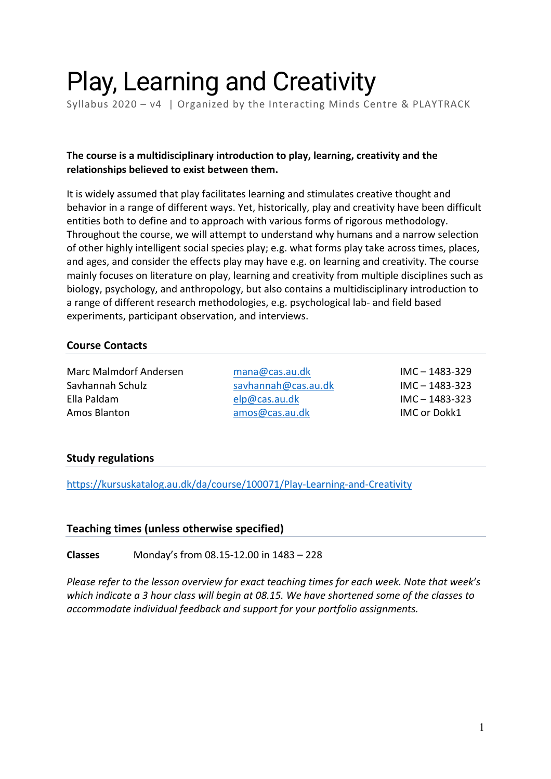# Play, Learning and Creativity

Syllabus 2020 – v4 | Organized by the Interacting Minds Centre & PLAYTRACK

## **The course is a multidisciplinary introduction to play, learning, creativity and the relationships believed to exist between them.**

It is widely assumed that play facilitates learning and stimulates creative thought and behavior in a range of different ways. Yet, historically, play and creativity have been difficult entities both to define and to approach with various forms of rigorous methodology. Throughout the course, we will attempt to understand why humans and a narrow selection of other highly intelligent social species play; e.g. what forms play take across times, places, and ages, and consider the effects play may have e.g. on learning and creativity. The course mainly focuses on literature on play, learning and creativity from multiple disciplines such as biology, psychology, and anthropology, but also contains a multidisciplinary introduction to a range of different research methodologies, e.g. psychological lab- and field based experiments, participant observation, and interviews.

## **Course Contacts**

Marc Malmdorf Andersen mana@cas.au.dk IMC – 1483-329 Savhannah Schulz savhannah@cas.au.dk IMC – 1483-323 Ella Paldam elp@cas.au.dk IMC – 1483-323

Amos Blanton amos @cas.au.dk IMC or Dokk1

#### **Study regulations**

https://kursuskatalog.au.dk/da/course/100071/Play-Learning-and-Creativity

#### **Teaching times (unless otherwise specified)**

**Classes** Monday's from 08.15-12.00 in 1483 – 228

*Please refer to the lesson overview for exact teaching times for each week. Note that week's which indicate a 3 hour class will begin at 08.15. We have shortened some of the classes to accommodate individual feedback and support for your portfolio assignments.*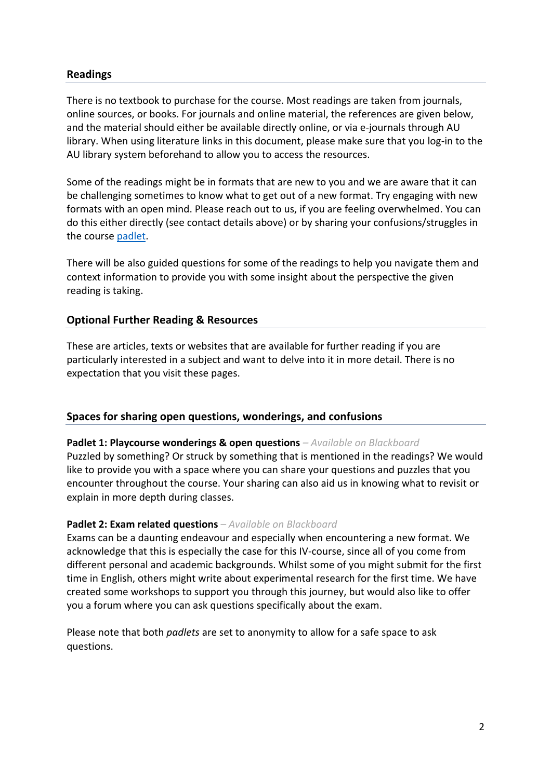## **Readings**

There is no textbook to purchase for the course. Most readings are taken from journals, online sources, or books. For journals and online material, the references are given below, and the material should either be available directly online, or via e-journals through AU library. When using literature links in this document, please make sure that you log-in to the AU library system beforehand to allow you to access the resources.

Some of the readings might be in formats that are new to you and we are aware that it can be challenging sometimes to know what to get out of a new format. Try engaging with new formats with an open mind. Please reach out to us, if you are feeling overwhelmed. You can do this either directly (see contact details above) or by sharing your confusions/struggles in the course padlet.

There will be also guided questions for some of the readings to help you navigate them and context information to provide you with some insight about the perspective the given reading is taking.

#### **Optional Further Reading & Resources**

These are articles, texts or websites that are available for further reading if you are particularly interested in a subject and want to delve into it in more detail. There is no expectation that you visit these pages.

#### **Spaces for sharing open questions, wonderings, and confusions**

#### **Padlet 1: Playcourse wonderings & open questions** *– Available on Blackboard*

Puzzled by something? Or struck by something that is mentioned in the readings? We would like to provide you with a space where you can share your questions and puzzles that you encounter throughout the course. Your sharing can also aid us in knowing what to revisit or explain in more depth during classes.

#### **Padlet 2: Exam related questions** *– Available on Blackboard*

Exams can be a daunting endeavour and especially when encountering a new format. We acknowledge that this is especially the case for this IV-course, since all of you come from different personal and academic backgrounds. Whilst some of you might submit for the first time in English, others might write about experimental research for the first time. We have created some workshops to support you through this journey, but would also like to offer you a forum where you can ask questions specifically about the exam.

Please note that both *padlets* are set to anonymity to allow for a safe space to ask questions.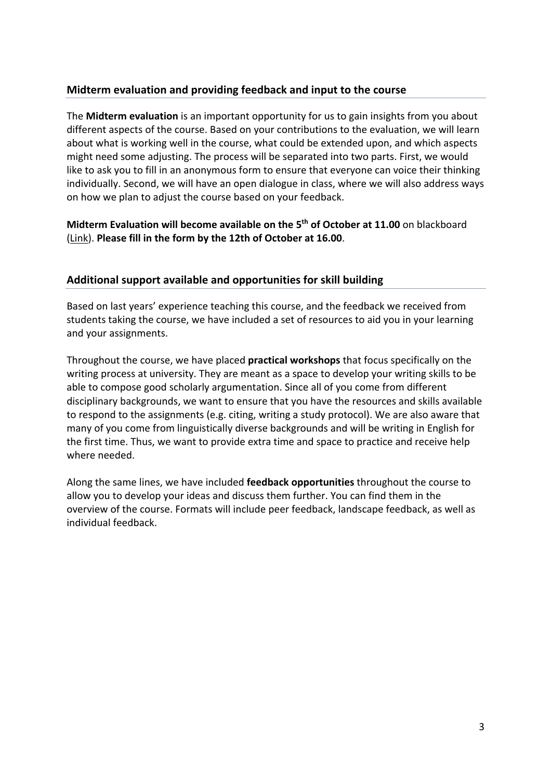# **Midterm evaluation and providing feedback and input to the course**

The **Midterm evaluation** is an important opportunity for us to gain insights from you about different aspects of the course. Based on your contributions to the evaluation, we will learn about what is working well in the course, what could be extended upon, and which aspects might need some adjusting. The process will be separated into two parts. First, we would like to ask you to fill in an anonymous form to ensure that everyone can voice their thinking individually. Second, we will have an open dialogue in class, where we will also address ways on how we plan to adjust the course based on your feedback.

**Midterm Evaluation will become available on the 5th of October at 11.00** on blackboard (Link). **Please fill in the form by the 12th of October at 16.00**.

# **Additional support available and opportunities for skill building**

Based on last years' experience teaching this course, and the feedback we received from students taking the course, we have included a set of resources to aid you in your learning and your assignments.

Throughout the course, we have placed **practical workshops** that focus specifically on the writing process at university. They are meant as a space to develop your writing skills to be able to compose good scholarly argumentation. Since all of you come from different disciplinary backgrounds, we want to ensure that you have the resources and skills available to respond to the assignments (e.g. citing, writing a study protocol). We are also aware that many of you come from linguistically diverse backgrounds and will be writing in English for the first time. Thus, we want to provide extra time and space to practice and receive help where needed.

Along the same lines, we have included **feedback opportunities** throughout the course to allow you to develop your ideas and discuss them further. You can find them in the overview of the course. Formats will include peer feedback, landscape feedback, as well as individual feedback.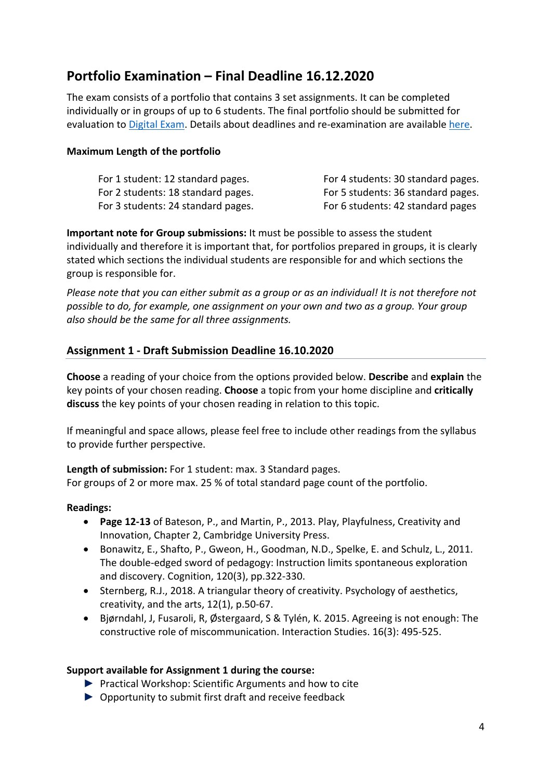# **Portfolio Examination – Final Deadline 16.12.2020**

The exam consists of a portfolio that contains 3 set assignments. It can be completed individually or in groups of up to 6 students. The final portfolio should be submitted for evaluation to Digital Exam. Details about deadlines and re-examination are available here.

#### **Maximum Length of the portfolio**

| For 1 student: 12 standard pages.  | For 4 students: 30 standard pages. |
|------------------------------------|------------------------------------|
| For 2 students: 18 standard pages. | For 5 students: 36 standard pages. |
| For 3 students: 24 standard pages. | For 6 students: 42 standard pages  |

**Important note for Group submissions:** It must be possible to assess the student individually and therefore it is important that, for portfolios prepared in groups, it is clearly stated which sections the individual students are responsible for and which sections the group is responsible for.

*Please note that you can either submit as a group or as an individual! It is not therefore not possible to do, for example, one assignment on your own and two as a group. Your group also should be the same for all three assignments.* 

## **Assignment 1 - Draft Submission Deadline 16.10.2020**

**Choose** a reading of your choice from the options provided below. **Describe** and **explain** the key points of your chosen reading. **Choose** a topic from your home discipline and **critically discuss** the key points of your chosen reading in relation to this topic.

If meaningful and space allows, please feel free to include other readings from the syllabus to provide further perspective.

**Length of submission:** For 1 student: max. 3 Standard pages. For groups of 2 or more max. 25 % of total standard page count of the portfolio.

## **Readings:**

- **Page 12-13** of Bateson, P., and Martin, P., 2013. Play, Playfulness, Creativity and Innovation, Chapter 2, Cambridge University Press.
- Bonawitz, E., Shafto, P., Gweon, H., Goodman, N.D., Spelke, E. and Schulz, L., 2011. The double-edged sword of pedagogy: Instruction limits spontaneous exploration and discovery. Cognition, 120(3), pp.322-330.
- Sternberg, R.J., 2018. A triangular theory of creativity. Psychology of aesthetics, creativity, and the arts, 12(1), p.50-67.
- Bjørndahl, J, Fusaroli, R, Østergaard, S & Tylén, K. 2015. Agreeing is not enough: The constructive role of miscommunication. Interaction Studies. 16(3): 495-525.

#### **Support available for Assignment 1 during the course:**

- ► Practical Workshop: Scientific Arguments and how to cite
- ► Opportunity to submit first draft and receive feedback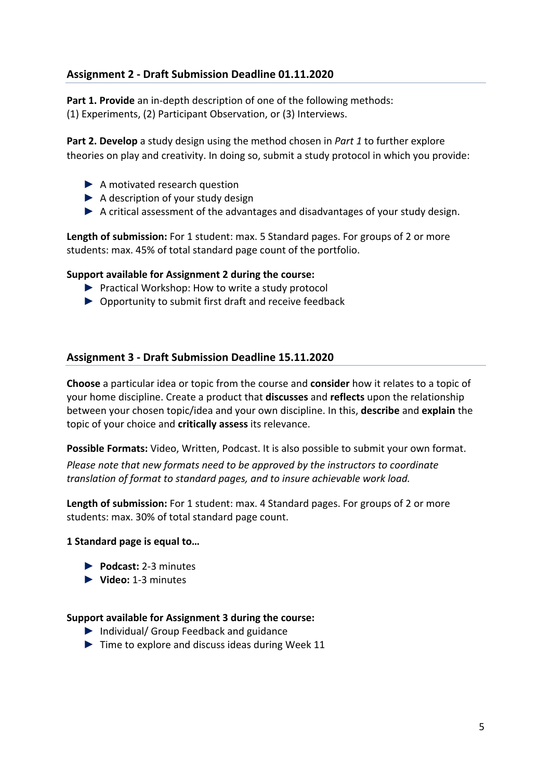# **Assignment 2 - Draft Submission Deadline 01.11.2020**

**Part 1. Provide** an in-depth description of one of the following methods: (1) Experiments, (2) Participant Observation, or (3) Interviews.

**Part 2. Develop** a study design using the method chosen in *Part 1* to further explore theories on play and creativity. In doing so, submit a study protocol in which you provide:

- $\blacktriangleright$  A motivated research question
- ► A description of your study design
- ► A critical assessment of the advantages and disadvantages of your study design.

**Length of submission:** For 1 student: max. 5 Standard pages. For groups of 2 or more students: max. 45% of total standard page count of the portfolio.

#### **Support available for Assignment 2 during the course:**

- ► Practical Workshop: How to write a study protocol
- ► Opportunity to submit first draft and receive feedback

#### **Assignment 3 - Draft Submission Deadline 15.11.2020**

**Choose** a particular idea or topic from the course and **consider** how it relates to a topic of your home discipline. Create a product that **discusses** and **reflects** upon the relationship between your chosen topic/idea and your own discipline. In this, **describe** and **explain** the topic of your choice and **critically assess** its relevance.

**Possible Formats:** Video, Written, Podcast. It is also possible to submit your own format.

*Please note that new formats need to be approved by the instructors to coordinate translation of format to standard pages, and to insure achievable work load.*

**Length of submission:** For 1 student: max. 4 Standard pages. For groups of 2 or more students: max. 30% of total standard page count.

#### **1 Standard page is equal to…**

- ► **Podcast:** 2-3 minutes
- ► **Video:** 1-3 minutes

#### **Support available for Assignment 3 during the course:**

- ► Individual/ Group Feedback and guidance
- $\triangleright$  Time to explore and discuss ideas during Week 11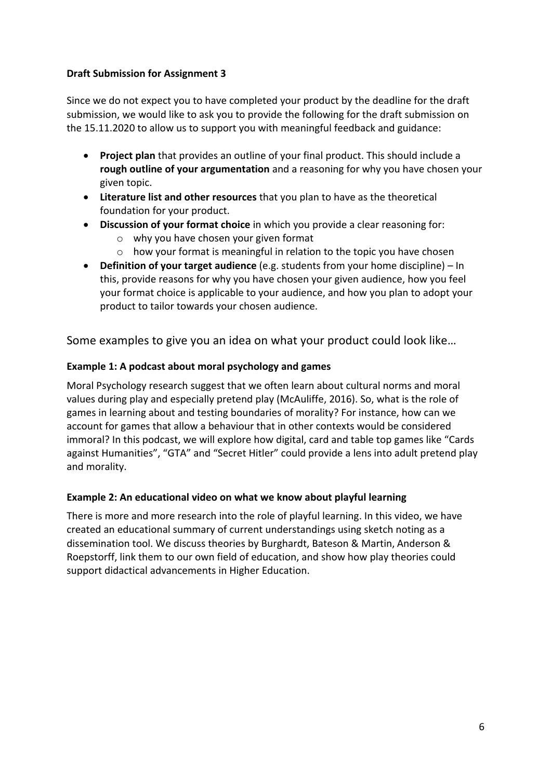# **Draft Submission for Assignment 3**

Since we do not expect you to have completed your product by the deadline for the draft submission, we would like to ask you to provide the following for the draft submission on the 15.11.2020 to allow us to support you with meaningful feedback and guidance:

- **Project plan** that provides an outline of your final product. This should include a **rough outline of your argumentation** and a reasoning for why you have chosen your given topic.
- **Literature list and other resources** that you plan to have as the theoretical foundation for your product.
- **Discussion of your format choice** in which you provide a clear reasoning for:
	- o why you have chosen your given format
	- o how your format is meaningful in relation to the topic you have chosen
- **Definition of your target audience** (e.g. students from your home discipline) In this, provide reasons for why you have chosen your given audience, how you feel your format choice is applicable to your audience, and how you plan to adopt your product to tailor towards your chosen audience.

Some examples to give you an idea on what your product could look like…

# **Example 1: A podcast about moral psychology and games**

Moral Psychology research suggest that we often learn about cultural norms and moral values during play and especially pretend play (McAuliffe, 2016). So, what is the role of games in learning about and testing boundaries of morality? For instance, how can we account for games that allow a behaviour that in other contexts would be considered immoral? In this podcast, we will explore how digital, card and table top games like "Cards against Humanities", "GTA" and "Secret Hitler" could provide a lens into adult pretend play and morality.

# **Example 2: An educational video on what we know about playful learning**

There is more and more research into the role of playful learning. In this video, we have created an educational summary of current understandings using sketch noting as a dissemination tool. We discuss theories by Burghardt, Bateson & Martin, Anderson & Roepstorff, link them to our own field of education, and show how play theories could support didactical advancements in Higher Education.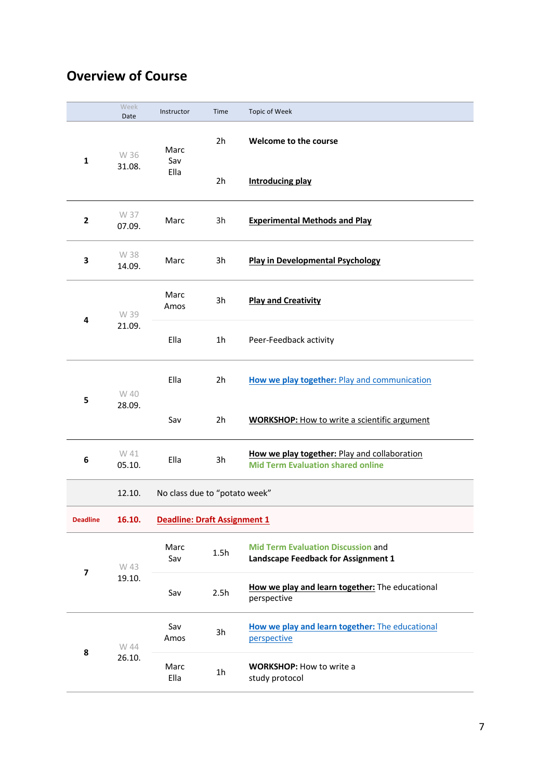# **Overview of Course**

|                 | Week<br>Date   | Instructor                          | Time           | <b>Topic of Week</b>                                                                     |
|-----------------|----------------|-------------------------------------|----------------|------------------------------------------------------------------------------------------|
| $\mathbf{1}$    | W 36           | Marc<br>Sav                         | 2 <sub>h</sub> | Welcome to the course                                                                    |
|                 | 31.08.         | Ella                                | 2h             | <b>Introducing play</b>                                                                  |
| $\overline{2}$  | W 37<br>07.09. | Marc                                | 3h             | <b>Experimental Methods and Play</b>                                                     |
| 3               | W 38<br>14.09. | Marc                                | 3h             | <b>Play in Developmental Psychology</b>                                                  |
| 4               | W 39           | Marc<br>Amos                        | 3h             | <b>Play and Creativity</b>                                                               |
|                 | 21.09.         | Ella                                | 1 <sub>h</sub> | Peer-Feedback activity                                                                   |
| 5               | W 40           | Ella                                | 2h             | How we play together: Play and communication                                             |
|                 | 28.09.         | Sav                                 | 2h             | <b>WORKSHOP:</b> How to write a scientific argument                                      |
| 6               | W 41<br>05.10. | Ella                                | 3h             | How we play together: Play and collaboration<br><b>Mid Term Evaluation shared online</b> |
|                 | 12.10.         | No class due to "potato week"       |                |                                                                                          |
| <b>Deadline</b> | 16.10.         | <b>Deadline: Draft Assignment 1</b> |                |                                                                                          |
| 7               | W 43<br>19.10. | Marc<br>Sav                         | 1.5h           | <b>Mid Term Evaluation Discussion and</b><br>Landscape Feedback for Assignment 1         |
|                 |                | Sav                                 | 2.5h           | How we play and learn together: The educational<br>perspective                           |
| 8               | W 44           | Sav<br>Amos                         | 3h             | How we play and learn together: The educational<br>perspective                           |
|                 |                | 26.10.                              | Marc<br>Ella   | 1 <sub>h</sub>                                                                           |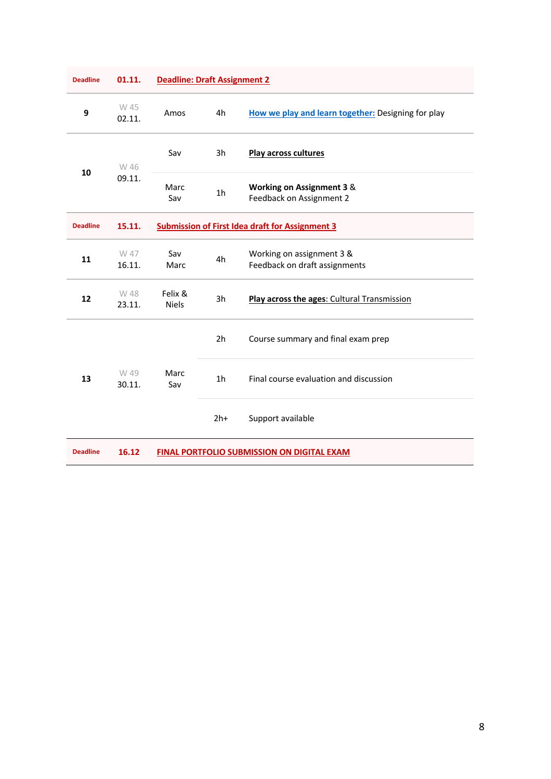| <b>Deadline</b> | 01.11.         | <b>Deadline: Draft Assignment 2</b>                    |                |                                                                  |
|-----------------|----------------|--------------------------------------------------------|----------------|------------------------------------------------------------------|
| 9               | W 45<br>02.11. | Amos                                                   | 4h             | How we play and learn together: Designing for play               |
| 10              | W 46<br>09.11. | Sav                                                    | 3h             | Play across cultures                                             |
|                 |                | Marc<br>Sav                                            | 1 <sub>h</sub> | <b>Working on Assignment 3 &amp;</b><br>Feedback on Assignment 2 |
| <b>Deadline</b> | 15.11.         | <b>Submission of First Idea draft for Assignment 3</b> |                |                                                                  |
| 11              | W 47<br>16.11. | Sav<br>Marc                                            | 4h             | Working on assignment 3 &<br>Feedback on draft assignments       |
| 12              | W 48<br>23.11. | Felix &<br><b>Niels</b>                                | 3h             | Play across the ages: Cultural Transmission                      |
| 13              |                |                                                        | 2 <sub>h</sub> | Course summary and final exam prep                               |
|                 | W 49<br>30.11. | Marc<br>Sav                                            | 1 <sub>h</sub> | Final course evaluation and discussion                           |
|                 |                |                                                        | $2h+$          | Support available                                                |
| <b>Deadline</b> | 16.12          | <b>FINAL PORTFOLIO SUBMISSION ON DIGITAL EXAM</b>      |                |                                                                  |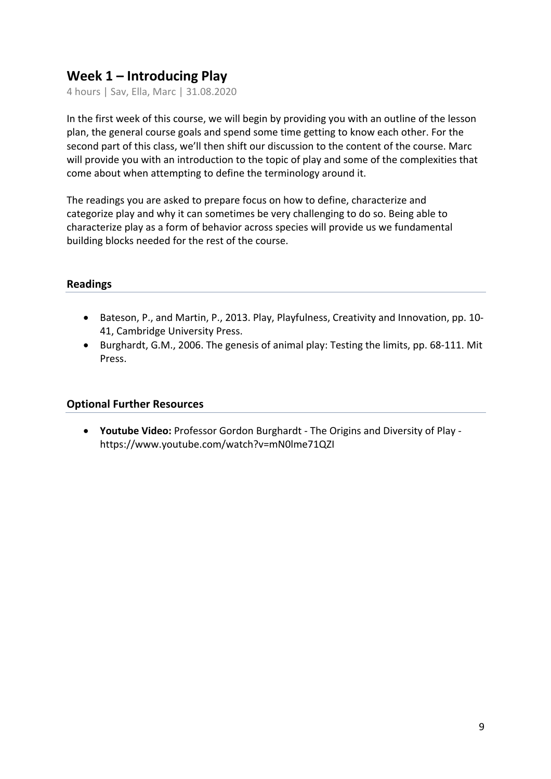# **Week 1 – Introducing Play**

4 hours | Sav, Ella, Marc | 31.08.2020

In the first week of this course, we will begin by providing you with an outline of the lesson plan, the general course goals and spend some time getting to know each other. For the second part of this class, we'll then shift our discussion to the content of the course. Marc will provide you with an introduction to the topic of play and some of the complexities that come about when attempting to define the terminology around it.

The readings you are asked to prepare focus on how to define, characterize and categorize play and why it can sometimes be very challenging to do so. Being able to characterize play as a form of behavior across species will provide us we fundamental building blocks needed for the rest of the course.

# **Readings**

- Bateson, P., and Martin, P., 2013. Play, Playfulness, Creativity and Innovation, pp. 10- 41, Cambridge University Press.
- Burghardt, G.M., 2006. The genesis of animal play: Testing the limits, pp. 68-111. Mit Press.

## **Optional Further Resources**

• **Youtube Video:** Professor Gordon Burghardt - The Origins and Diversity of Play https://www.youtube.com/watch?v=mN0lme71QZI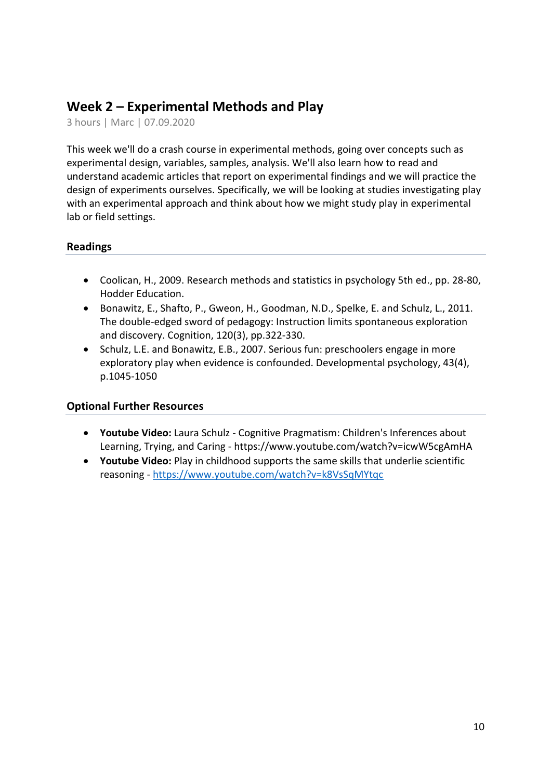# **Week 2 – Experimental Methods and Play**

3 hours | Marc | 07.09.2020

This week we'll do a crash course in experimental methods, going over concepts such as experimental design, variables, samples, analysis. We'll also learn how to read and understand academic articles that report on experimental findings and we will practice the design of experiments ourselves. Specifically, we will be looking at studies investigating play with an experimental approach and think about how we might study play in experimental lab or field settings.

# **Readings**

- Coolican, H., 2009. Research methods and statistics in psychology 5th ed., pp. 28-80, Hodder Education.
- Bonawitz, E., Shafto, P., Gweon, H., Goodman, N.D., Spelke, E. and Schulz, L., 2011. The double-edged sword of pedagogy: Instruction limits spontaneous exploration and discovery. Cognition, 120(3), pp.322-330.
- Schulz, L.E. and Bonawitz, E.B., 2007. Serious fun: preschoolers engage in more exploratory play when evidence is confounded. Developmental psychology, 43(4), p.1045-1050

- **Youtube Video:** Laura Schulz Cognitive Pragmatism: Children's Inferences about Learning, Trying, and Caring - https://www.youtube.com/watch?v=icwW5cgAmHA
- **Youtube Video:** Play in childhood supports the same skills that underlie scientific reasoning - https://www.youtube.com/watch?v=k8VsSqMYtqc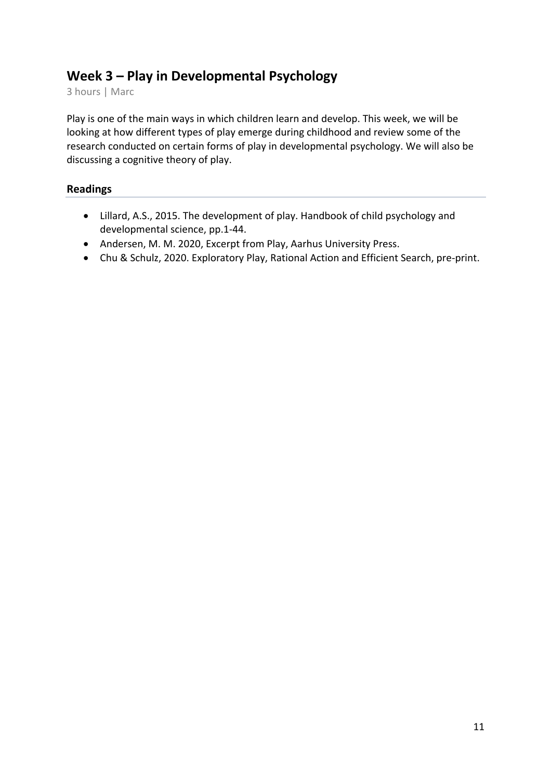# **Week 3 – Play in Developmental Psychology**

3 hours | Marc

Play is one of the main ways in which children learn and develop. This week, we will be looking at how different types of play emerge during childhood and review some of the research conducted on certain forms of play in developmental psychology. We will also be discussing a cognitive theory of play.

# **Readings**

- Lillard, A.S., 2015. The development of play. Handbook of child psychology and developmental science, pp.1-44.
- Andersen, M. M. 2020, Excerpt from Play, Aarhus University Press.
- Chu & Schulz, 2020. Exploratory Play, Rational Action and Efficient Search, pre-print.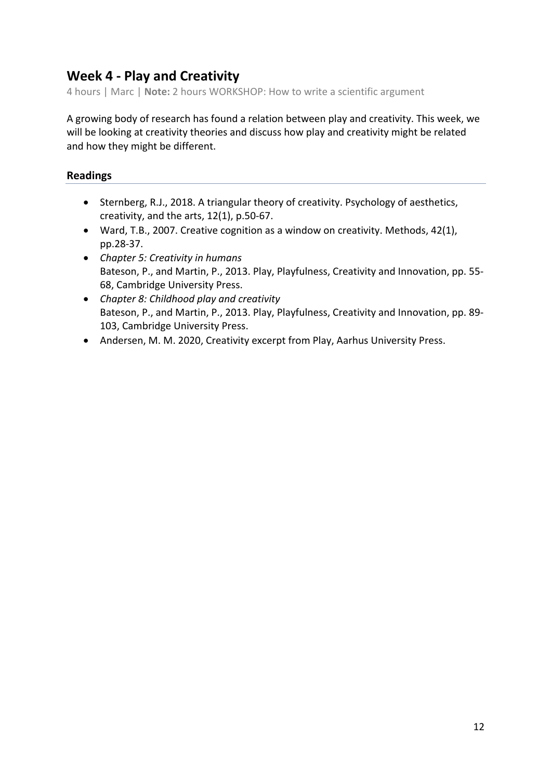# **Week 4 - Play and Creativity**

4 hours | Marc | **Note:** 2 hours WORKSHOP: How to write a scientific argument

A growing body of research has found a relation between play and creativity. This week, we will be looking at creativity theories and discuss how play and creativity might be related and how they might be different.

# **Readings**

- Sternberg, R.J., 2018. A triangular theory of creativity. Psychology of aesthetics, creativity, and the arts, 12(1), p.50-67.
- Ward, T.B., 2007. Creative cognition as a window on creativity. Methods, 42(1), pp.28-37.
- *Chapter 5: Creativity in humans* Bateson, P., and Martin, P., 2013. Play, Playfulness, Creativity and Innovation, pp. 55- 68, Cambridge University Press.
- *Chapter 8: Childhood play and creativity* Bateson, P., and Martin, P., 2013. Play, Playfulness, Creativity and Innovation, pp. 89- 103, Cambridge University Press.
- Andersen, M. M. 2020, Creativity excerpt from Play, Aarhus University Press.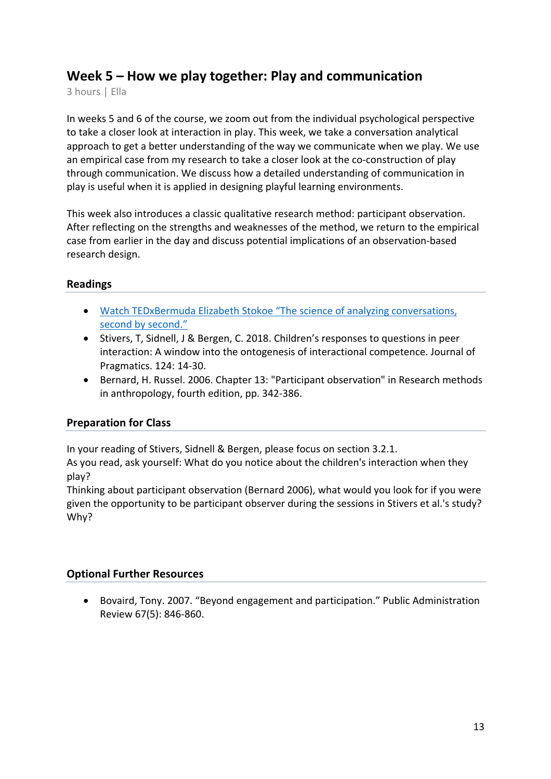# **Week 5 – How we play together: Play and communication**

3 hours | Ella

In weeks 5 and 6 of the course, we zoom out from the individual psychological perspective to take a closer look at interaction in play. This week, we take a conversation analytical approach to get a better understanding of the way we communicate when we play. We use an empirical case from my research to take a closer look at the co-construction of play through communication. We discuss how a detailed understanding of communication in play is useful when it is applied in designing playful learning environments.

This week also introduces a classic qualitative research method: participant observation. After reflecting on the strengths and weaknesses of the method, we return to the empirical case from earlier in the day and discuss potential implications of an observation-based research design.

# **Readings**

- Watch TEDxBermuda Elizabeth Stokoe "The science of analyzing conversations, second by second."
- Stivers, T, Sidnell, J & Bergen, C. 2018. Children's responses to questions in peer interaction: A window into the ontogenesis of interactional competence. Journal of Pragmatics. 124: 14-30.
- Bernard, H. Russel. 2006. Chapter 13: "Participant observation" in Research methods in anthropology, fourth edition, pp. 342-386.

# **Preparation for Class**

In your reading of Stivers, Sidnell & Bergen, please focus on section 3.2.1.

As you read, ask yourself: What do you notice about the children's interaction when they play?

Thinking about participant observation (Bernard 2006), what would you look for if you were given the opportunity to be participant observer during the sessions in Stivers et al.'s study? Why?

# **Optional Further Resources**

• Bovaird, Tony. 2007. "Beyond engagement and participation." Public Administration Review 67(5): 846-860.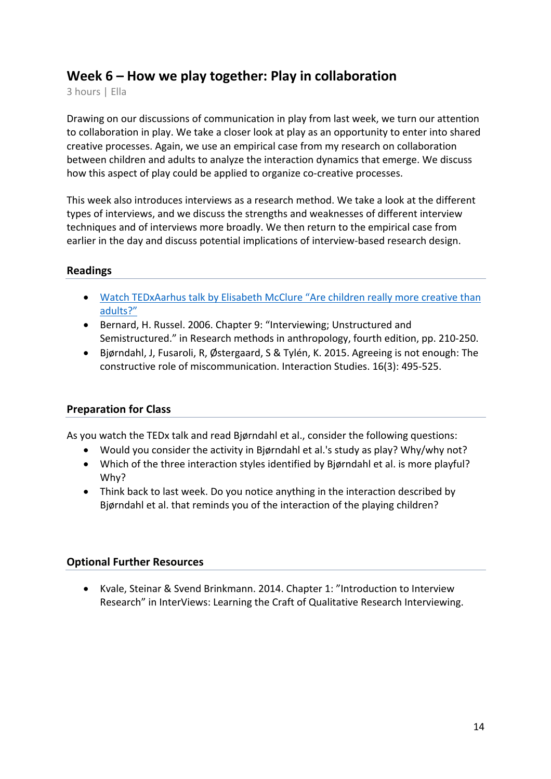# **Week 6 – How we play together: Play in collaboration**

3 hours | Ella

Drawing on our discussions of communication in play from last week, we turn our attention to collaboration in play. We take a closer look at play as an opportunity to enter into shared creative processes. Again, we use an empirical case from my research on collaboration between children and adults to analyze the interaction dynamics that emerge. We discuss how this aspect of play could be applied to organize co-creative processes.

This week also introduces interviews as a research method. We take a look at the different types of interviews, and we discuss the strengths and weaknesses of different interview techniques and of interviews more broadly. We then return to the empirical case from earlier in the day and discuss potential implications of interview-based research design.

# **Readings**

- Watch TEDxAarhus talk by Elisabeth McClure "Are children really more creative than adults?"
- Bernard, H. Russel. 2006. Chapter 9: "Interviewing; Unstructured and Semistructured." in Research methods in anthropology, fourth edition, pp. 210-250.
- Bjørndahl, J, Fusaroli, R, Østergaard, S & Tylén, K. 2015. Agreeing is not enough: The constructive role of miscommunication. Interaction Studies. 16(3): 495-525.

## **Preparation for Class**

As you watch the TEDx talk and read Bjørndahl et al., consider the following questions:

- Would you consider the activity in Bjørndahl et al.'s study as play? Why/why not?
- Which of the three interaction styles identified by Bjørndahl et al. is more playful? Why?
- Think back to last week. Do you notice anything in the interaction described by Bjørndahl et al. that reminds you of the interaction of the playing children?

## **Optional Further Resources**

• Kvale, Steinar & Svend Brinkmann. 2014. Chapter 1: "Introduction to Interview Research" in InterViews: Learning the Craft of Qualitative Research Interviewing.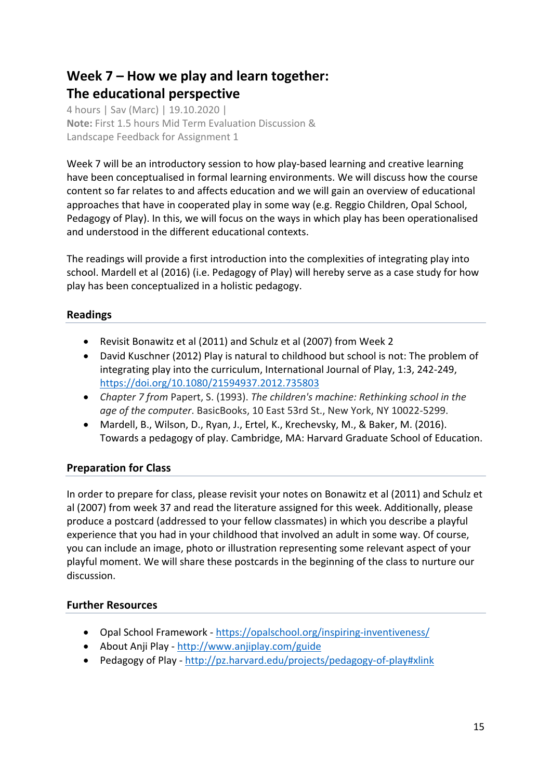# **Week 7 – How we play and learn together: The educational perspective**

4 hours | Sav (Marc) | 19.10.2020 | **Note:** First 1.5 hours Mid Term Evaluation Discussion & Landscape Feedback for Assignment 1

Week 7 will be an introductory session to how play-based learning and creative learning have been conceptualised in formal learning environments. We will discuss how the course content so far relates to and affects education and we will gain an overview of educational approaches that have in cooperated play in some way (e.g. Reggio Children, Opal School, Pedagogy of Play). In this, we will focus on the ways in which play has been operationalised and understood in the different educational contexts.

The readings will provide a first introduction into the complexities of integrating play into school. Mardell et al (2016) (i.e. Pedagogy of Play) will hereby serve as a case study for how play has been conceptualized in a holistic pedagogy.

# **Readings**

- Revisit Bonawitz et al (2011) and Schulz et al (2007) from Week 2
- David Kuschner (2012) Play is natural to childhood but school is not: The problem of integrating play into the curriculum, International Journal of Play, 1:3, 242-249, https://doi.org/10.1080/21594937.2012.735803
- *Chapter 7 from* Papert, S. (1993). *The children's machine: Rethinking school in the age of the computer*. BasicBooks, 10 East 53rd St., New York, NY 10022-5299.
- Mardell, B., Wilson, D., Ryan, J., Ertel, K., Krechevsky, M., & Baker, M. (2016). Towards a pedagogy of play. Cambridge, MA: Harvard Graduate School of Education.

# **Preparation for Class**

In order to prepare for class, please revisit your notes on Bonawitz et al (2011) and Schulz et al (2007) from week 37 and read the literature assigned for this week. Additionally, please produce a postcard (addressed to your fellow classmates) in which you describe a playful experience that you had in your childhood that involved an adult in some way. Of course, you can include an image, photo or illustration representing some relevant aspect of your playful moment. We will share these postcards in the beginning of the class to nurture our discussion.

# **Further Resources**

- Opal School Framework https://opalschool.org/inspiring-inventiveness/
- About Anji Play http://www.anjiplay.com/guide
- Pedagogy of Play http://pz.harvard.edu/projects/pedagogy-of-play#xlink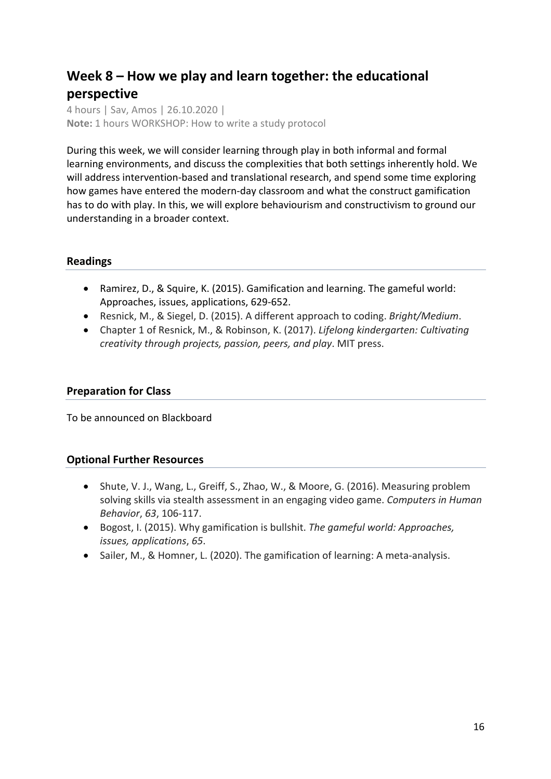# **Week 8 – How we play and learn together: the educational perspective**

4 hours | Sav, Amos | 26.10.2020 | **Note:** 1 hours WORKSHOP: How to write a study protocol

During this week, we will consider learning through play in both informal and formal learning environments, and discuss the complexities that both settings inherently hold. We will address intervention-based and translational research, and spend some time exploring how games have entered the modern-day classroom and what the construct gamification has to do with play. In this, we will explore behaviourism and constructivism to ground our understanding in a broader context.

# **Readings**

- Ramirez, D., & Squire, K. (2015). Gamification and learning. The gameful world: Approaches, issues, applications, 629-652.
- Resnick, M., & Siegel, D. (2015). A different approach to coding. *Bright/Medium*.
- Chapter 1 of Resnick, M., & Robinson, K. (2017). *Lifelong kindergarten: Cultivating creativity through projects, passion, peers, and play*. MIT press.

## **Preparation for Class**

To be announced on Blackboard

- Shute, V. J., Wang, L., Greiff, S., Zhao, W., & Moore, G. (2016). Measuring problem solving skills via stealth assessment in an engaging video game. *Computers in Human Behavior*, *63*, 106-117.
- Bogost, I. (2015). Why gamification is bullshit. *The gameful world: Approaches, issues, applications*, *65*.
- Sailer, M., & Homner, L. (2020). The gamification of learning: A meta-analysis.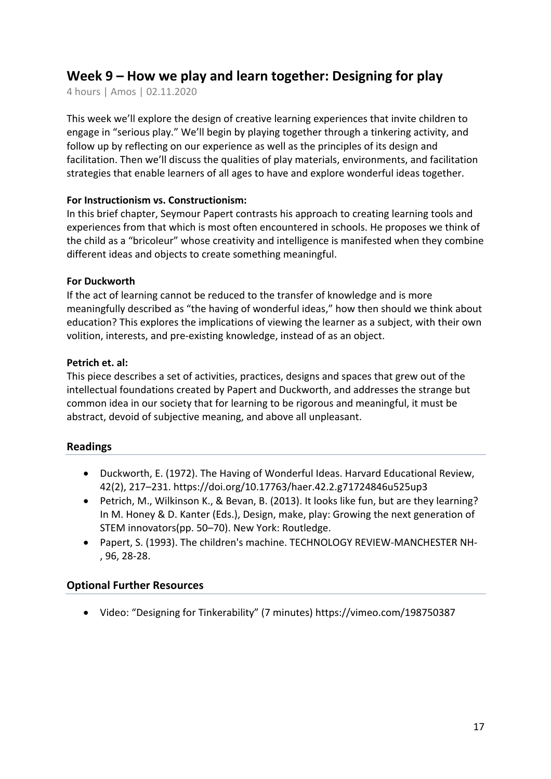# **Week 9 – How we play and learn together: Designing for play**

4 hours | Amos | 02.11.2020

This week we'll explore the design of creative learning experiences that invite children to engage in "serious play." We'll begin by playing together through a tinkering activity, and follow up by reflecting on our experience as well as the principles of its design and facilitation. Then we'll discuss the qualities of play materials, environments, and facilitation strategies that enable learners of all ages to have and explore wonderful ideas together.

## **For Instructionism vs. Constructionism:**

In this brief chapter, Seymour Papert contrasts his approach to creating learning tools and experiences from that which is most often encountered in schools. He proposes we think of the child as a "bricoleur" whose creativity and intelligence is manifested when they combine different ideas and objects to create something meaningful.

#### **For Duckworth**

If the act of learning cannot be reduced to the transfer of knowledge and is more meaningfully described as "the having of wonderful ideas," how then should we think about education? This explores the implications of viewing the learner as a subject, with their own volition, interests, and pre-existing knowledge, instead of as an object.

#### **Petrich et. al:**

This piece describes a set of activities, practices, designs and spaces that grew out of the intellectual foundations created by Papert and Duckworth, and addresses the strange but common idea in our society that for learning to be rigorous and meaningful, it must be abstract, devoid of subjective meaning, and above all unpleasant.

## **Readings**

- Duckworth, E. (1972). The Having of Wonderful Ideas. Harvard Educational Review, 42(2), 217–231. https://doi.org/10.17763/haer.42.2.g71724846u525up3
- Petrich, M., Wilkinson K., & Bevan, B. (2013). It looks like fun, but are they learning? In M. Honey & D. Kanter (Eds.), Design, make, play: Growing the next generation of STEM innovators(pp. 50–70). New York: Routledge.
- Papert, S. (1993). The children's machine. TECHNOLOGY REVIEW-MANCHESTER NH- , 96, 28-28.

## **Optional Further Resources**

• Video: "Designing for Tinkerability" (7 minutes) https://vimeo.com/198750387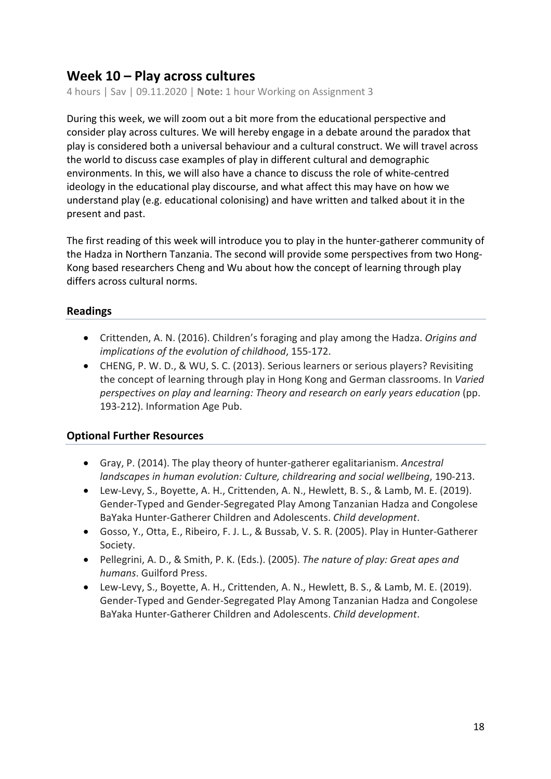# **Week 10 – Play across cultures**

4 hours | Sav | 09.11.2020 | **Note:** 1 hour Working on Assignment 3

During this week, we will zoom out a bit more from the educational perspective and consider play across cultures. We will hereby engage in a debate around the paradox that play is considered both a universal behaviour and a cultural construct. We will travel across the world to discuss case examples of play in different cultural and demographic environments. In this, we will also have a chance to discuss the role of white-centred ideology in the educational play discourse, and what affect this may have on how we understand play (e.g. educational colonising) and have written and talked about it in the present and past.

The first reading of this week will introduce you to play in the hunter-gatherer community of the Hadza in Northern Tanzania. The second will provide some perspectives from two Hong-Kong based researchers Cheng and Wu about how the concept of learning through play differs across cultural norms.

# **Readings**

- Crittenden, A. N. (2016). Children's foraging and play among the Hadza. *Origins and implications of the evolution of childhood*, 155-172.
- CHENG, P. W. D., & WU, S. C. (2013). Serious learners or serious players? Revisiting the concept of learning through play in Hong Kong and German classrooms. In *Varied perspectives on play and learning: Theory and research on early years education* (pp. 193-212). Information Age Pub.

- Gray, P. (2014). The play theory of hunter-gatherer egalitarianism. *Ancestral landscapes in human evolution: Culture, childrearing and social wellbeing*, 190-213.
- Lew-Levy, S., Boyette, A. H., Crittenden, A. N., Hewlett, B. S., & Lamb, M. E. (2019). Gender-Typed and Gender-Segregated Play Among Tanzanian Hadza and Congolese BaYaka Hunter-Gatherer Children and Adolescents. *Child development*.
- Gosso, Y., Otta, E., Ribeiro, F. J. L., & Bussab, V. S. R. (2005). Play in Hunter-Gatherer Society.
- Pellegrini, A. D., & Smith, P. K. (Eds.). (2005). *The nature of play: Great apes and humans*. Guilford Press.
- Lew-Levy, S., Boyette, A. H., Crittenden, A. N., Hewlett, B. S., & Lamb, M. E. (2019). Gender-Typed and Gender-Segregated Play Among Tanzanian Hadza and Congolese BaYaka Hunter-Gatherer Children and Adolescents. *Child development*.